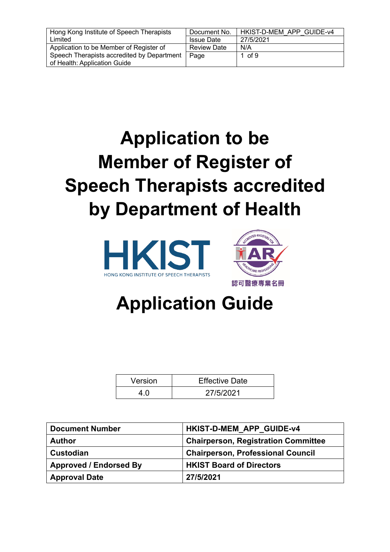| Hong Kong Institute of Speech Therapists   | Document No.       | HKIST-D-MEM APP GUIDE-v4 |
|--------------------------------------------|--------------------|--------------------------|
| Limited                                    | <b>Issue Date</b>  | 27/5/2021                |
| Application to be Member of Register of    | <b>Review Date</b> | N/A                      |
| Speech Therapists accredited by Department | Page               | 1 of 9                   |
| of Health: Application Guide               |                    |                          |

# **Application to be Member of Register of Speech Therapists accredited by Department of Health**





# **Application Guide**

| Version | <b>Effective Date</b> |
|---------|-----------------------|
|         | 27/5/2021             |

| <b>Document Number</b>        | <b>HKIST-D-MEM APP GUIDE-v4</b>            |
|-------------------------------|--------------------------------------------|
| <b>Author</b>                 | <b>Chairperson, Registration Committee</b> |
| <b>Custodian</b>              | <b>Chairperson, Professional Council</b>   |
| <b>Approved / Endorsed By</b> | <b>HKIST Board of Directors</b>            |
| <b>Approval Date</b>          | 27/5/2021                                  |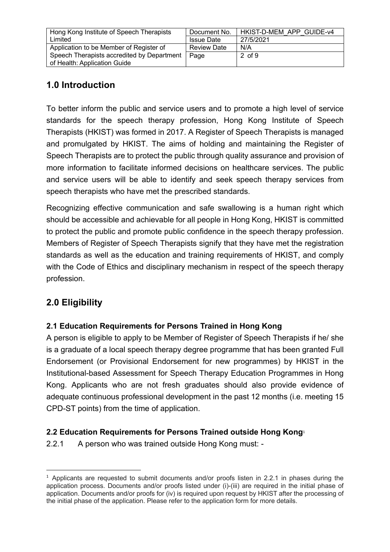| Hong Kong Institute of Speech Therapists   | Document No.       | HKIST-D-MEM APP GUIDE-v4 |
|--------------------------------------------|--------------------|--------------------------|
| Limited                                    | <b>Issue Date</b>  | 27/5/2021                |
| Application to be Member of Register of    | <b>Review Date</b> | N/A                      |
| Speech Therapists accredited by Department | Page               | $2$ of $9$               |
| of Health: Application Guide               |                    |                          |

## **1.0 Introduction**

To better inform the public and service users and to promote a high level of service standards for the speech therapy profession, Hong Kong Institute of Speech Therapists (HKIST) was formed in 2017. A Register of Speech Therapists is managed and promulgated by HKIST. The aims of holding and maintaining the Register of Speech Therapists are to protect the public through quality assurance and provision of more information to facilitate informed decisions on healthcare services. The public and service users will be able to identify and seek speech therapy services from speech therapists who have met the prescribed standards.

Recognizing effective communication and safe swallowing is a human right which should be accessible and achievable for all people in Hong Kong, HKIST is committed to protect the public and promote public confidence in the speech therapy profession. Members of Register of Speech Therapists signify that they have met the registration standards as well as the education and training requirements of HKIST, and comply with the Code of Ethics and disciplinary mechanism in respect of the speech therapy profession.

## **2.0 Eligibility**

#### **2.1 Education Requirements for Persons Trained in Hong Kong**

A person is eligible to apply to be Member of Register of Speech Therapists if he/ she is a graduate of a local speech therapy degree programme that has been granted Full Endorsement (or Provisional Endorsement for new programmes) by HKIST in the Institutional-based Assessment for Speech Therapy Education Programmes in Hong Kong. Applicants who are not fresh graduates should also provide evidence of adequate continuous professional development in the past 12 months (i.e. meeting 15 CPD-ST points) from the time of application.

#### **2.2 Education Requirements for Persons Trained outside Hong Kong**<sup>1</sup>

2.2.1 A person who was trained outside Hong Kong must: -

 $1$  Applicants are requested to submit documents and/or proofs listen in 2.2.1 in phases during the application process. Documents and/or proofs listed under (i)-(iii) are required in the initial phase of application. Documents and/or proofs for (iv) is required upon request by HKIST after the processing of the initial phase of the application. Please refer to the application form for more details.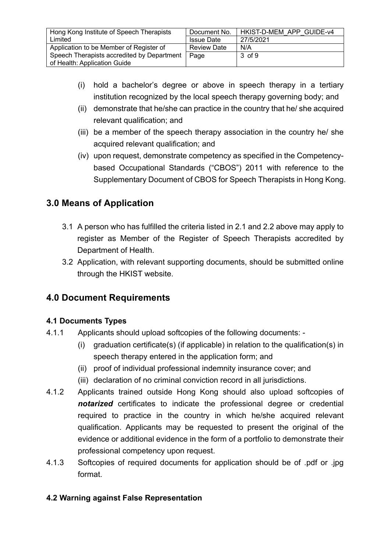| Hong Kong Institute of Speech Therapists   | Document No.       | HKIST-D-MEM APP GUIDE-v4 |
|--------------------------------------------|--------------------|--------------------------|
|                                            |                    |                          |
| Limited                                    | <b>Issue Date</b>  | 27/5/2021                |
|                                            |                    |                          |
| Application to be Member of Register of    | <b>Review Date</b> | N/A                      |
|                                            |                    |                          |
| Speech Therapists accredited by Department | Page               | $3 \text{ of } 9$        |
|                                            |                    |                          |
| of Health: Application Guide               |                    |                          |
|                                            |                    |                          |

- (i) hold a bachelor's degree or above in speech therapy in a tertiary institution recognized by the local speech therapy governing body; and
- (ii) demonstrate that he/she can practice in the country that he/ she acquired relevant qualification; and
- (iii) be a member of the speech therapy association in the country he/ she acquired relevant qualification; and
- (iv) upon request, demonstrate competency as specified in the Competencybased Occupational Standards ("CBOS") 2011 with reference to the Supplementary Document of CBOS for Speech Therapists in Hong Kong.

## **3.0 Means of Application**

- 3.1 A person who has fulfilled the criteria listed in 2.1 and 2.2 above may apply to register as Member of the Register of Speech Therapists accredited by Department of Health.
- 3.2 Application, with relevant supporting documents, should be submitted online through the HKIST website.

## **4.0 Document Requirements**

#### **4.1 Documents Types**

- 4.1.1 Applicants should upload softcopies of the following documents:
	- (i) graduation certificate(s) (if applicable) in relation to the qualification(s) in speech therapy entered in the application form; and
	- (ii) proof of individual professional indemnity insurance cover; and
	- (iii) declaration of no criminal conviction record in all jurisdictions.
- 4.1.2 Applicants trained outside Hong Kong should also upload softcopies of *notarized* certificates to indicate the professional degree or credential required to practice in the country in which he/she acquired relevant qualification. Applicants may be requested to present the original of the evidence or additional evidence in the form of a portfolio to demonstrate their professional competency upon request.
- 4.1.3 Softcopies of required documents for application should be of .pdf or .jpg format.

#### **4.2 Warning against False Representation**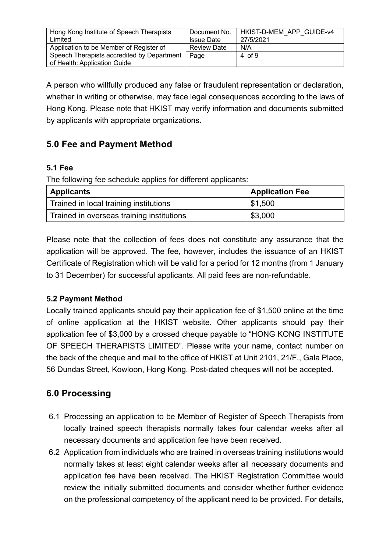| Hong Kong Institute of Speech Therapists   | Document No.       | HKIST-D-MEM APP GUIDE-v4 |
|--------------------------------------------|--------------------|--------------------------|
| Limited                                    | <b>Issue Date</b>  | 27/5/2021                |
| Application to be Member of Register of    | <b>Review Date</b> | N/A                      |
| Speech Therapists accredited by Department | Page               | $4 \text{ of } 9$        |
| of Health: Application Guide               |                    |                          |

A person who willfully produced any false or fraudulent representation or declaration, whether in writing or otherwise, may face legal consequences according to the laws of Hong Kong. Please note that HKIST may verify information and documents submitted by applicants with appropriate organizations.

## **5.0 Fee and Payment Method**

#### **5.1 Fee**

The following fee schedule applies for different applicants:

| <b>Applicants</b>                         | <b>Application Fee</b> |
|-------------------------------------------|------------------------|
| Trained in local training institutions    | \$1,500                |
| Trained in overseas training institutions | \$3,000                |

Please note that the collection of fees does not constitute any assurance that the application will be approved. The fee, however, includes the issuance of an HKIST Certificate of Registration which will be valid for a period for 12 months (from 1 January to 31 December) for successful applicants. All paid fees are non-refundable.

#### **5.2 Payment Method**

Locally trained applicants should pay their application fee of \$1,500 online at the time of online application at the HKIST website. Other applicants should pay their application fee of \$3,000 by a crossed cheque payable to "HONG KONG INSTITUTE OF SPEECH THERAPISTS LIMITED". Please write your name, contact number on the back of the cheque and mail to the office of HKIST at Unit 2101, 21/F., Gala Place, 56 Dundas Street, Kowloon, Hong Kong. Post-dated cheques will not be accepted.

## **6.0 Processing**

- 6.1 Processing an application to be Member of Register of Speech Therapists from locally trained speech therapists normally takes four calendar weeks after all necessary documents and application fee have been received.
- 6.2 Application from individuals who are trained in overseas training institutions would normally takes at least eight calendar weeks after all necessary documents and application fee have been received. The HKIST Registration Committee would review the initially submitted documents and consider whether further evidence on the professional competency of the applicant need to be provided. For details,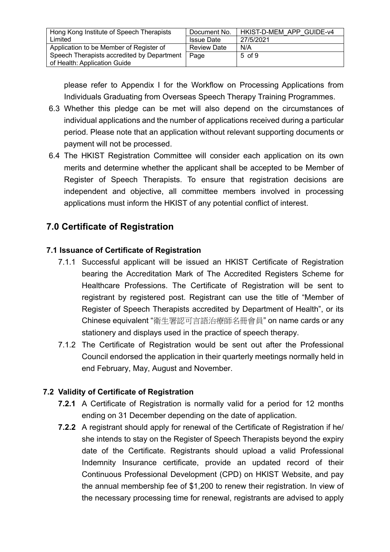| Hong Kong Institute of Speech Therapists   | Document No.       | HKIST-D-MEM APP GUIDE-v4 |
|--------------------------------------------|--------------------|--------------------------|
|                                            |                    |                          |
| Limited                                    | <b>Issue Date</b>  | 27/5/2021                |
|                                            |                    |                          |
|                                            | <b>Review Date</b> | N/A                      |
| Application to be Member of Register of    |                    |                          |
| Speech Therapists accredited by Department | Page               | $5 \text{ of } 9$        |
|                                            |                    |                          |
| of Health: Application Guide               |                    |                          |
|                                            |                    |                          |

please refer to Appendix I for the Workflow on Processing Applications from Individuals Graduating from Overseas Speech Therapy Training Programmes.

- 6.3 Whether this pledge can be met will also depend on the circumstances of individual applications and the number of applications received during a particular period. Please note that an application without relevant supporting documents or payment will not be processed.
- 6.4 The HKIST Registration Committee will consider each application on its own merits and determine whether the applicant shall be accepted to be Member of Register of Speech Therapists. To ensure that registration decisions are independent and objective, all committee members involved in processing applications must inform the HKIST of any potential conflict of interest.

## **7.0 Certificate of Registration**

#### **7.1 Issuance of Certificate of Registration**

- 7.1.1 Successful applicant will be issued an HKIST Certificate of Registration bearing the Accreditation Mark of The Accredited Registers Scheme for Healthcare Professions. The Certificate of Registration will be sent to registrant by registered post. Registrant can use the title of "Member of Register of Speech Therapists accredited by Department of Health", or its Chinese equivalent "衛生署認可言語治療師名冊會員" on name cards or any stationery and displays used in the practice of speech therapy.
- 7.1.2 The Certificate of Registration would be sent out after the Professional Council endorsed the application in their quarterly meetings normally held in end February, May, August and November.

#### **7.2 Validity of Certificate of Registration**

- **7.2.1** A Certificate of Registration is normally valid for a period for 12 months ending on 31 December depending on the date of application.
- **7.2.2** A registrant should apply for renewal of the Certificate of Registration if he/ she intends to stay on the Register of Speech Therapists beyond the expiry date of the Certificate. Registrants should upload a valid Professional Indemnity Insurance certificate, provide an updated record of their Continuous Professional Development (CPD) on HKIST Website, and pay the annual membership fee of \$1,200 to renew their registration. In view of the necessary processing time for renewal, registrants are advised to apply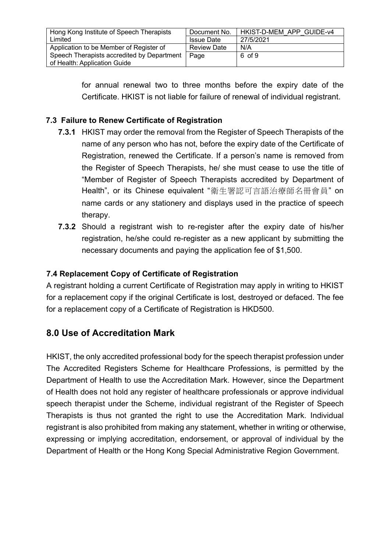| HKIST-D-MEM APP GUIDE-v4 |
|--------------------------|
|                          |
|                          |
|                          |
|                          |
|                          |
|                          |
|                          |
|                          |
|                          |

for annual renewal two to three months before the expiry date of the Certificate. HKIST is not liable for failure of renewal of individual registrant.

#### **7.3 Failure to Renew Certificate of Registration**

- **7.3.1** HKIST may order the removal from the Register of Speech Therapists of the name of any person who has not, before the expiry date of the Certificate of Registration, renewed the Certificate. If a person's name is removed from the Register of Speech Therapists, he/ she must cease to use the title of "Member of Register of Speech Therapists accredited by Department of Health", or its Chinese equivalent "衛生署認可言語治療師名冊會員" on name cards or any stationery and displays used in the practice of speech therapy.
- **7.3.2** Should a registrant wish to re-register after the expiry date of his/her registration, he/she could re-register as a new applicant by submitting the necessary documents and paying the application fee of \$1,500.

#### **7.4 Replacement Copy of Certificate of Registration**

A registrant holding a current Certificate of Registration may apply in writing to HKIST for a replacement copy if the original Certificate is lost, destroyed or defaced. The fee for a replacement copy of a Certificate of Registration is HKD500.

## **8.0 Use of Accreditation Mark**

HKIST, the only accredited professional body for the speech therapist profession under The Accredited Registers Scheme for Healthcare Professions, is permitted by the Department of Health to use the Accreditation Mark. However, since the Department of Health does not hold any register of healthcare professionals or approve individual speech therapist under the Scheme, individual registrant of the Register of Speech Therapists is thus not granted the right to use the Accreditation Mark. Individual registrant is also prohibited from making any statement, whether in writing or otherwise, expressing or implying accreditation, endorsement, or approval of individual by the Department of Health or the Hong Kong Special Administrative Region Government.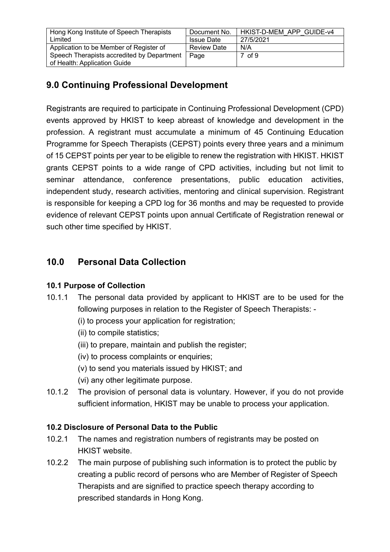| Hong Kong Institute of Speech Therapists   | Document No.       | HKIST-D-MEM APP GUIDE-v4 |
|--------------------------------------------|--------------------|--------------------------|
| Limited                                    | <b>Issue Date</b>  | 27/5/2021                |
| Application to be Member of Register of    | <b>Review Date</b> | N/A                      |
| Speech Therapists accredited by Department | Page               | $7 \text{ of } 9$        |
| of Health: Application Guide               |                    |                          |

# **9.0 Continuing Professional Development**

Registrants are required to participate in Continuing Professional Development (CPD) events approved by HKIST to keep abreast of knowledge and development in the profession. A registrant must accumulate a minimum of 45 Continuing Education Programme for Speech Therapists (CEPST) points every three years and a minimum of 15 CEPST points per year to be eligible to renew the registration with HKIST. HKIST grants CEPST points to a wide range of CPD activities, including but not limit to seminar attendance, conference presentations, public education activities, independent study, research activities, mentoring and clinical supervision. Registrant is responsible for keeping a CPD log for 36 months and may be requested to provide evidence of relevant CEPST points upon annual Certificate of Registration renewal or such other time specified by HKIST.

## **10.0 Personal Data Collection**

#### **10.1 Purpose of Collection**

- 10.1.1 The personal data provided by applicant to HKIST are to be used for the following purposes in relation to the Register of Speech Therapists: -
	- (i) to process your application for registration;
	- (ii) to compile statistics;
	- (iii) to prepare, maintain and publish the register;
	- (iv) to process complaints or enquiries;
	- (v) to send you materials issued by HKIST; and
	- (vi) any other legitimate purpose.
- 10.1.2 The provision of personal data is voluntary. However, if you do not provide sufficient information, HKIST may be unable to process your application.

## **10.2 Disclosure of Personal Data to the Public**

- 10.2.1 The names and registration numbers of registrants may be posted on HKIST website.
- 10.2.2 The main purpose of publishing such information is to protect the public by creating a public record of persons who are Member of Register of Speech Therapists and are signified to practice speech therapy according to prescribed standards in Hong Kong.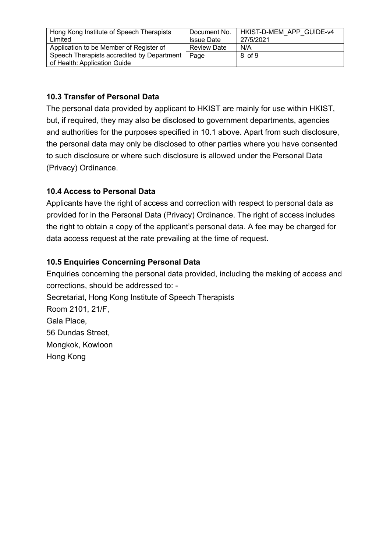| Hong Kong Institute of Speech Therapists   | Document No.       | HKIST-D-MEM APP GUIDE-v4 |
|--------------------------------------------|--------------------|--------------------------|
| Limited                                    | <b>Issue Date</b>  | 27/5/2021                |
| Application to be Member of Register of    | <b>Review Date</b> | N/A                      |
| Speech Therapists accredited by Department | Page               | 8 of 9                   |
| of Health: Application Guide               |                    |                          |

#### **10.3 Transfer of Personal Data**

The personal data provided by applicant to HKIST are mainly for use within HKIST, but, if required, they may also be disclosed to government departments, agencies and authorities for the purposes specified in 10.1 above. Apart from such disclosure, the personal data may only be disclosed to other parties where you have consented to such disclosure or where such disclosure is allowed under the Personal Data (Privacy) Ordinance.

#### **10.4 Access to Personal Data**

Applicants have the right of access and correction with respect to personal data as provided for in the Personal Data (Privacy) Ordinance. The right of access includes the right to obtain a copy of the applicant's personal data. A fee may be charged for data access request at the rate prevailing at the time of request.

#### **10.5 Enquiries Concerning Personal Data**

Enquiries concerning the personal data provided, including the making of access and corrections, should be addressed to: - Secretariat, Hong Kong Institute of Speech Therapists Room 2101, 21/F, Gala Place, 56 Dundas Street, Mongkok, Kowloon Hong Kong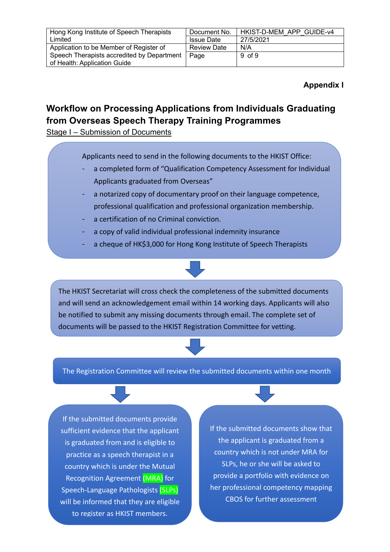| Hong Kong Institute of Speech Therapists   | Document No.       | HKIST-D-MEM APP GUIDE-v4 |
|--------------------------------------------|--------------------|--------------------------|
| Limited                                    | <b>Issue Date</b>  | 27/5/2021                |
| Application to be Member of Register of    | <b>Review Date</b> | N/A                      |
| Speech Therapists accredited by Department | Page               | $9 \text{ of } 9$        |
| of Health: Application Guide               |                    |                          |

#### **Appendix I**

## **Workflow on Processing Applications from Individuals Graduating from Overseas Speech Therapy Training Programmes**

Stage I – Submission of Documents

Applicants need to send in the following documents to the HKIST Office:

- a completed form of "Qualification Competency Assessment for Individual Applicants graduated from Overseas"
- a notarized copy of documentary proof on their language competence, professional qualification and professional organization membership.
- a certification of no Criminal conviction.
- a copy of valid individual professional indemnity insurance
- a cheque of HK\$3,000 for Hong Kong Institute of Speech Therapists



#### The Registration Committee will review the submitted documents within one month

If the submitted documents provide sufficient evidence that the applicant is graduated from and is eligible to practice as a speech therapist in a country which is under the Mutual Recognition Agreement (MRA) for Speech-Language Pathologists (SLPs) will be informed that they are eligible to register as HKIST members.

If the submitted documents show that the applicant is graduated from a country which is not under MRA for SLPs, he or she will be asked to provide a portfolio with evidence on her professional competency mapping CBOS for further assessment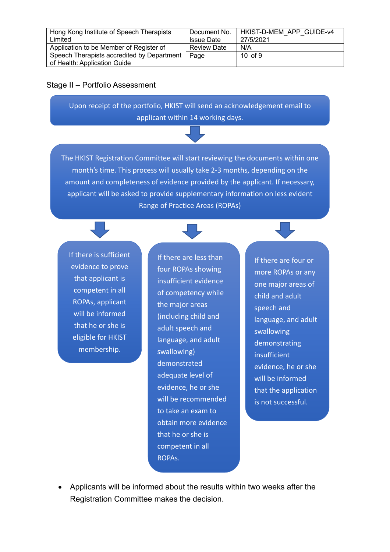| Hong Kong Institute of Speech Therapists   | Document No.       | HKIST-D-MEM APP GUIDE-v4 |
|--------------------------------------------|--------------------|--------------------------|
| Limited                                    | <b>Issue Date</b>  | 27/5/2021                |
| Application to be Member of Register of    | <b>Review Date</b> | N/A                      |
| Speech Therapists accredited by Department | Page               | $10 \text{ of } 9$       |
| of Health: Application Guide               |                    |                          |

#### Stage II – Portfolio Assessment

Upon receipt of the portfolio, HKIST will send an acknowledgement email to applicant within 14 working days.

The HKIST Registration Committee will start reviewing the documents within one month's time. This process will usually take 2-3 months, depending on the amount and completeness of evidence provided by the applicant. If necessary, applicant will be asked to provide supplementary information on less evident Range of Practice Areas (ROPAs)

If there is sufficient evidence to prove that applicant is competent in all ROPAs, applicant will be informed that he or she is eligible for HKIST membership.

If there are less than four ROPAs showing insufficient evidence of competency while the major areas (including child and adult speech and language, and adult swallowing) demonstrated adequate level of evidence, he or she will be recommended to take an exam to obtain more evidence that he or she is competent in all ROPAs.

If there are four or more ROPAs or any one major areas of child and adult speech and language, and adult swallowing demonstrating insufficient evidence, he or she will be informed that the application is not successful.

• Applicants will be informed about the results within two weeks after the Registration Committee makes the decision.